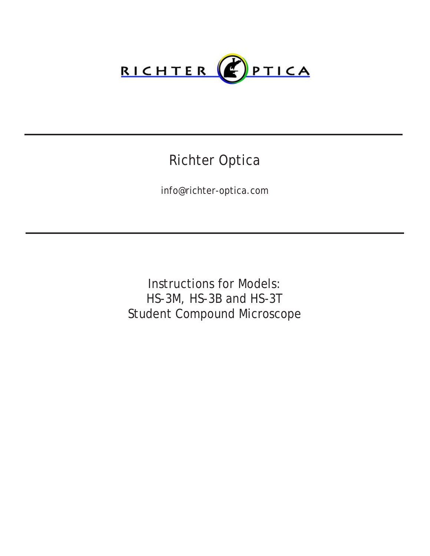

# Richter Optica

info@richter-optica.com

Instructions for Models: HS-3M, HS-3B and HS-3T Student Compound Microscope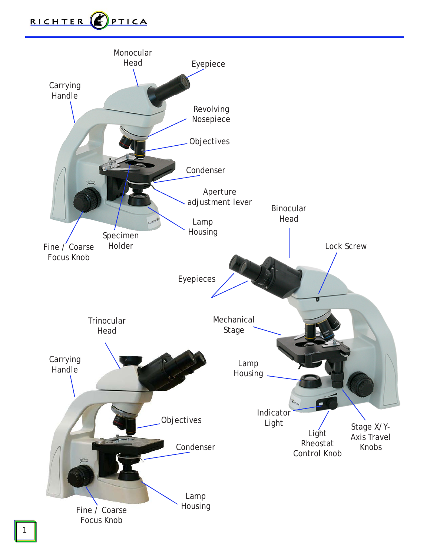

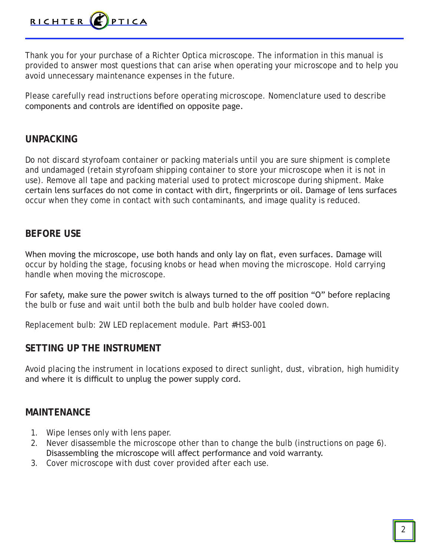

Thank you for your purchase of a Richter Optica microscope. The information in this manual is provided to answer most questions that can arise when operating your microscope and to help you avoid unnecessary maintenance expenses in the future.

Please carefully read instructions before operating microscope. Nomenclature used to describe components and controls are identified on opposite page.

### **UNPACKING**

Do not discard styrofoam container or packing materials until you are sure shipment is complete and undamaged (retain styrofoam shipping container to store your microscope when it is not in use). Remove all tape and packing material used to protect microscope during shipment. Make certain lens surfaces do not come in contact with dirt, fingerprints or oil. Damage of lens surfaces occur when they come in contact with such contaminants, and image quality is reduced.

# **BEFORE USE**

When moving the microscope, use both hands and only lay on flat, even surfaces. Damage will occur by holding the stage, focusing knobs or head when moving the microscope. Hold carrying handle when moving the microscope.

For safety, make sure the power switch is always turned to the off position "O" before replacing the bulb or fuse and wait until both the bulb and bulb holder have cooled down.

Replacement bulb: 2W LED replacement module. Part #HS3-001

# **SETTING UP THE INSTRUMENT**

Avoid placing the instrument in locations exposed to direct sunlight, dust, vibration, high humidity and where it is difficult to unplug the power supply cord.

# **MAINTENANCE**

- 1. Wipe lenses only with lens paper.
- 2. Never disassemble the microscope other than to change the bulb (instructions on page 6). Disassembling the microscope will affect performance and void warranty.
- 3. Cover microscope with dust cover provided after each use.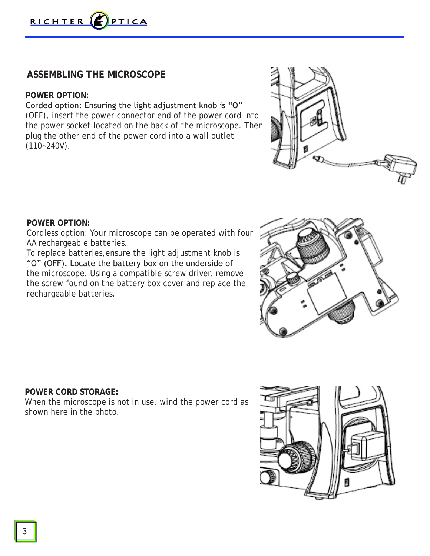

# **ASSEMBLING THE MICROSCOPE**

### **POWER OPTION:**

Corded option: Ensuring the light adjustment knob is "O" (OFF), insert the power connector end of the power cord into the power socket located on the back of the microscope. Then plug the other end of the power cord into a wall outlet  $(110 - 240V)$ .



#### **POWER OPTION:**

Cordless option: Your microscope can be operated with four AA rechargeable batteries.

To replace batteries,ensure the light adjustment knob is "O" (OFF). Locate the battery box on the underside of the microscope. Using a compatible screw driver, remove the screw found on the battery box cover and replace the rechargeable batteries.



#### **POWER CORD STORAGE:**

When the microscope is not in use, wind the power cord as shown here in the photo.

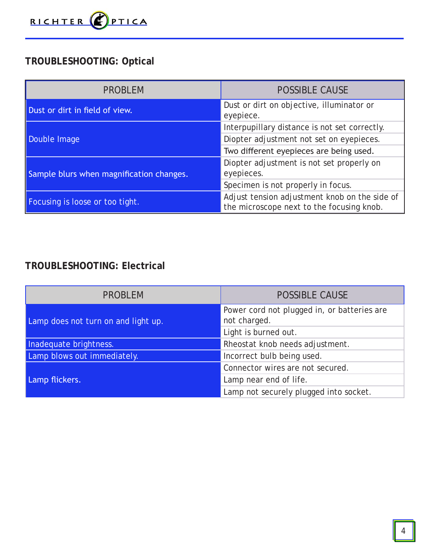

# **TROUBLESHOOTING: Optical**

| <b>PROBLEM</b>                           | <b>POSSIBLE CAUSE</b>                                                                      |
|------------------------------------------|--------------------------------------------------------------------------------------------|
| Dust or dirt in field of view.           | Dust or dirt on objective, illuminator or<br>eyepiece.                                     |
| Double Image                             | Interpupillary distance is not set correctly.                                              |
|                                          | Diopter adjustment not set on eyepieces.                                                   |
|                                          | Two different eyepieces are being used.                                                    |
| Sample blurs when magnification changes. | Diopter adjustment is not set properly on                                                  |
|                                          | eyepieces.                                                                                 |
|                                          | Specimen is not properly in focus.                                                         |
| Focusing is loose or too tight.          | Adjust tension adjustment knob on the side of<br>the microscope next to the focusing knob. |

# **TROUBLESHOOTING: Electrical**

| <b>PROBLEM</b>                      | <b>POSSIBLE CAUSE</b>                                       |
|-------------------------------------|-------------------------------------------------------------|
| Lamp does not turn on and light up. | Power cord not plugged in, or batteries are<br>not charged. |
|                                     | Light is burned out.                                        |
| Inadequate brightness.              | Rheostat knob needs adjustment.                             |
| Lamp blows out immediately.         | Incorrect bulb being used.                                  |
| Lamp flickers.                      | Connector wires are not secured.                            |
|                                     | Lamp near end of life.                                      |
|                                     | Lamp not securely plugged into socket.                      |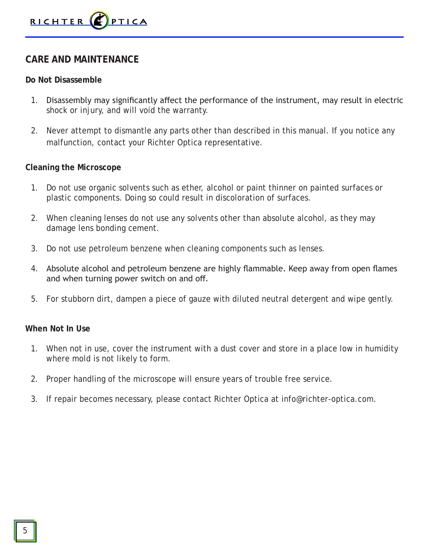# **CARE AND MAINTENANCE**

### **Do Not Disassemble**

- 1. Disassembly may significantly affect the performance of the instrument, may result in electric shock or injury, and will void the warranty.
- 2. Never attempt to dismantle any parts other than described in this manual. If you notice any malfunction, contact your Richter Optica representative.

### **Cleaning the Microscope**

- 1. Do not use organic solvents such as ether, alcohol or paint thinner on painted surfaces or plastic components. Doing so could result in discoloration of surfaces.
- 2. When cleaning lenses do not use any solvents other than absolute alcohol, as they may damage lens bonding cement.
- 3. Do not use petroleum benzene when cleaning components such as lenses.
- 4. Absolute alcohol and petroleum benzene are highly flammable. Keep away from open flames and when turning power switch on and off.
- 5. For stubborn dirt, dampen a piece of gauze with diluted neutral detergent and wipe gently.

### **When Not In Use**

- 1. When not in use, cover the instrument with a dust cover and store in a place low in humidity where mold is not likely to form.
- 2. Proper handling of the microscope will ensure years of trouble free service.
- 3. If repair becomes necessary, please contact Richter Optica at info@richter-optica.com.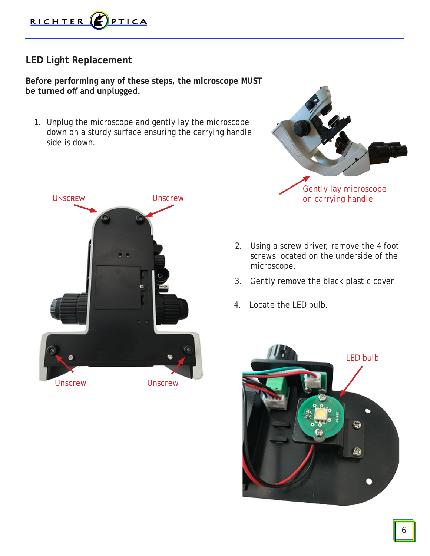

# **LED Light Replacement**

**Before performing any of these steps, the microscope MUST be turned off and unplugged.** 

1. Unplug the microscope and gently lay the microscope down on a sturdy surface ensuring the carrying handle side is down.





- 2. Using a screw driver, remove the 4 foot screws located on the underside of the microscope.
- 3. Gently remove the black plastic cover.
- 4. Locate the LED bulb.

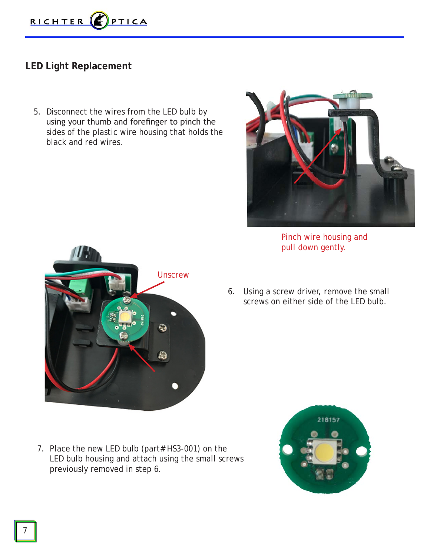

# **LED Light Replacement**

5. Disconnect the wires from the LED bulb by using your thumb and forefinger to pinch the sides of the plastic wire housing that holds the black and red wires.



Pinch wire housing and pull down gently.

6. Using a screw driver, remove the small screws on either side of the LED bulb.



**Unscrew** 

ಾ